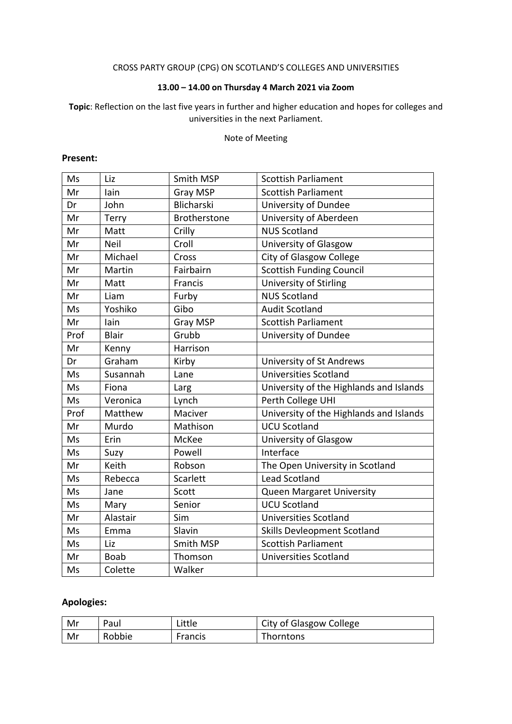# CROSS PARTY GROUP (CPG) ON SCOTLAND'S COLLEGES AND UNIVERSITIES

## **13.00 – 14.00 on Thursday 4 March 2021 via Zoom**

## **Topic**: Reflection on the last five years in further and higher education and hopes for colleges and universities in the next Parliament.

## Note of Meeting

## **Present:**

| Ms   | Liz          | Smith MSP           | <b>Scottish Parliament</b>              |
|------|--------------|---------------------|-----------------------------------------|
| Mr   | lain         | Gray MSP            | <b>Scottish Parliament</b>              |
| Dr   | John         | <b>Blicharski</b>   | University of Dundee                    |
| Mr   | Terry        | <b>Brotherstone</b> | University of Aberdeen                  |
| Mr   | Matt         | Crilly              | <b>NUS Scotland</b>                     |
| Mr   | Neil         | Croll               | University of Glasgow                   |
| Mr   | Michael      | Cross               | City of Glasgow College                 |
| Mr   | Martin       | Fairbairn           | <b>Scottish Funding Council</b>         |
| Mr   | Matt         | Francis             | <b>University of Stirling</b>           |
| Mr   | Liam         | Furby               | <b>NUS Scotland</b>                     |
| Ms   | Yoshiko      | Gibo                | <b>Audit Scotland</b>                   |
| Mr   | lain         | <b>Gray MSP</b>     | <b>Scottish Parliament</b>              |
| Prof | <b>Blair</b> | Grubb               | University of Dundee                    |
| Mr   | Kenny        | Harrison            |                                         |
| Dr   | Graham       | Kirby               | University of St Andrews                |
| Ms   | Susannah     | Lane                | <b>Universities Scotland</b>            |
| Ms   | Fiona        | Larg                | University of the Highlands and Islands |
| Ms   | Veronica     | Lynch               | Perth College UHI                       |
| Prof | Matthew      | Maciver             | University of the Highlands and Islands |
| Mr   | Murdo        | Mathison            | <b>UCU Scotland</b>                     |
| Ms   | Erin         | McKee               | University of Glasgow                   |
| Ms   | Suzy         | Powell              | Interface                               |
| Mr   | Keith        | Robson              | The Open University in Scotland         |
| Ms   | Rebecca      | Scarlett            | <b>Lead Scotland</b>                    |
| Ms   | Jane         | Scott               | <b>Queen Margaret University</b>        |
| Ms   | Mary         | Senior              | <b>UCU Scotland</b>                     |
| Mr   | Alastair     | Sim                 | <b>Universities Scotland</b>            |
| Ms   | Emma         | Slavin              | <b>Skills Devleopment Scotland</b>      |
| Ms   | Liz          | Smith MSP           | <b>Scottish Parliament</b>              |
| Mr   | <b>Boab</b>  | Thomson             | <b>Universities Scotland</b>            |
| Ms   | Colette      | Walker              |                                         |

# **Apologies:**

| . Mr | Paul   | Little  | City of Glasgow College |
|------|--------|---------|-------------------------|
| Mr   | Robbie | Francis | Thorntons               |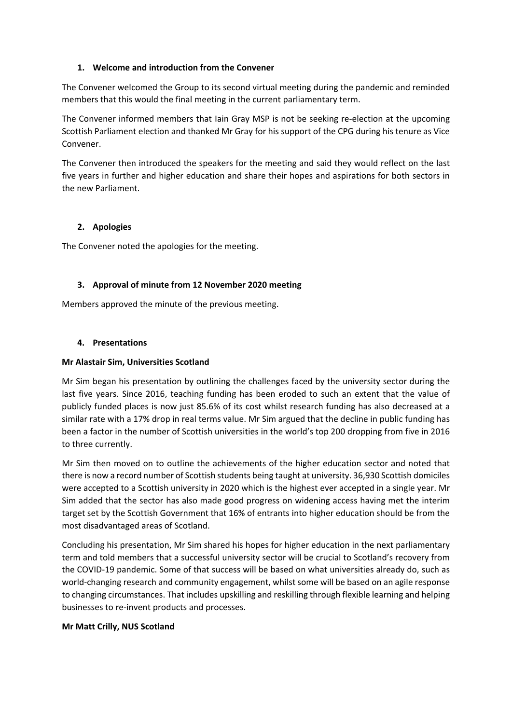## **1. Welcome and introduction from the Convener**

The Convener welcomed the Group to its second virtual meeting during the pandemic and reminded members that this would the final meeting in the current parliamentary term.

The Convener informed members that Iain Gray MSP is not be seeking re-election at the upcoming Scottish Parliament election and thanked Mr Gray for his support of the CPG during his tenure as Vice Convener.

The Convener then introduced the speakers for the meeting and said they would reflect on the last five years in further and higher education and share their hopes and aspirations for both sectors in the new Parliament.

## **2. Apologies**

The Convener noted the apologies for the meeting.

## **3. Approval of minute from 12 November 2020 meeting**

Members approved the minute of the previous meeting.

## **4. Presentations**

#### **Mr Alastair Sim, Universities Scotland**

Mr Sim began his presentation by outlining the challenges faced by the university sector during the last five years. Since 2016, teaching funding has been eroded to such an extent that the value of publicly funded places is now just 85.6% of its cost whilst research funding has also decreased at a similar rate with a 17% drop in real terms value. Mr Sim argued that the decline in public funding has been a factor in the number of Scottish universities in the world's top 200 dropping from five in 2016 to three currently.

Mr Sim then moved on to outline the achievements of the higher education sector and noted that there is now a record number of Scottish students being taught at university. 36,930 Scottish domiciles were accepted to a Scottish university in 2020 which is the highest ever accepted in a single year. Mr Sim added that the sector has also made good progress on widening access having met the interim target set by the Scottish Government that 16% of entrants into higher education should be from the most disadvantaged areas of Scotland.

Concluding his presentation, Mr Sim shared his hopes for higher education in the next parliamentary term and told members that a successful university sector will be crucial to Scotland's recovery from the COVID-19 pandemic. Some of that success will be based on what universities already do, such as world-changing research and community engagement, whilst some will be based on an agile response to changing circumstances. That includes upskilling and reskilling through flexible learning and helping businesses to re-invent products and processes.

#### **Mr Matt Crilly, NUS Scotland**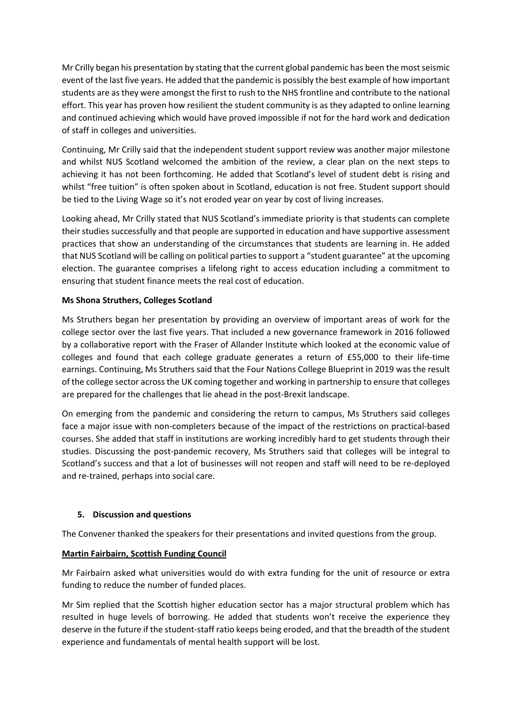Mr Crilly began his presentation by stating that the current global pandemic has been the most seismic event of the last five years. He added that the pandemic is possibly the best example of how important students are asthey were amongst the first to rush to the NHS frontline and contribute to the national effort. This year has proven how resilient the student community is as they adapted to online learning and continued achieving which would have proved impossible if not for the hard work and dedication of staff in colleges and universities.

Continuing, Mr Crilly said that the independent student support review was another major milestone and whilst NUS Scotland welcomed the ambition of the review, a clear plan on the next steps to achieving it has not been forthcoming. He added that Scotland's level of student debt is rising and whilst "free tuition" is often spoken about in Scotland, education is not free. Student support should be tied to the Living Wage so it's not eroded year on year by cost of living increases.

Looking ahead, Mr Crilly stated that NUS Scotland's immediate priority is that students can complete their studies successfully and that people are supported in education and have supportive assessment practices that show an understanding of the circumstances that students are learning in. He added that NUS Scotland will be calling on political parties to support a "student guarantee" at the upcoming election. The guarantee comprises a lifelong right to access education including a commitment to ensuring that student finance meets the real cost of education.

## **Ms Shona Struthers, Colleges Scotland**

Ms Struthers began her presentation by providing an overview of important areas of work for the college sector over the last five years. That included a new governance framework in 2016 followed by a collaborative report with the Fraser of Allander Institute which looked at the economic value of colleges and found that each college graduate generates a return of £55,000 to their life-time earnings. Continuing, Ms Struthers said that the Four Nations College Blueprint in 2019 was the result of the college sector across the UK coming together and working in partnership to ensure that colleges are prepared for the challenges that lie ahead in the post-Brexit landscape.

On emerging from the pandemic and considering the return to campus, Ms Struthers said colleges face a major issue with non-completers because of the impact of the restrictions on practical-based courses. She added that staff in institutions are working incredibly hard to get students through their studies. Discussing the post-pandemic recovery, Ms Struthers said that colleges will be integral to Scotland's success and that a lot of businesses will not reopen and staff will need to be re-deployed and re-trained, perhaps into social care.

#### **5. Discussion and questions**

The Convener thanked the speakers for their presentations and invited questions from the group.

#### **Martin Fairbairn, Scottish Funding Council**

Mr Fairbairn asked what universities would do with extra funding for the unit of resource or extra funding to reduce the number of funded places.

Mr Sim replied that the Scottish higher education sector has a major structural problem which has resulted in huge levels of borrowing. He added that students won't receive the experience they deserve in the future if the student-staff ratio keeps being eroded, and that the breadth of the student experience and fundamentals of mental health support will be lost.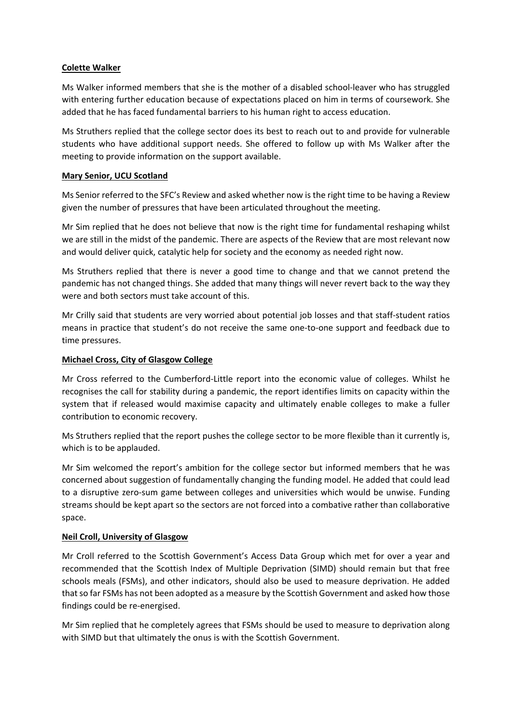## **Colette Walker**

Ms Walker informed members that she is the mother of a disabled school-leaver who has struggled with entering further education because of expectations placed on him in terms of coursework. She added that he has faced fundamental barriers to his human right to access education.

Ms Struthers replied that the college sector does its best to reach out to and provide for vulnerable students who have additional support needs. She offered to follow up with Ms Walker after the meeting to provide information on the support available.

## **Mary Senior, UCU Scotland**

Ms Senior referred to the SFC's Review and asked whether now is the right time to be having a Review given the number of pressures that have been articulated throughout the meeting.

Mr Sim replied that he does not believe that now is the right time for fundamental reshaping whilst we are still in the midst of the pandemic. There are aspects of the Review that are most relevant now and would deliver quick, catalytic help for society and the economy as needed right now.

Ms Struthers replied that there is never a good time to change and that we cannot pretend the pandemic has not changed things. She added that many things will never revert back to the way they were and both sectors must take account of this.

Mr Crilly said that students are very worried about potential job losses and that staff-student ratios means in practice that student's do not receive the same one-to-one support and feedback due to time pressures.

## **Michael Cross, City of Glasgow College**

Mr Cross referred to the Cumberford-Little report into the economic value of colleges. Whilst he recognises the call for stability during a pandemic, the report identifies limits on capacity within the system that if released would maximise capacity and ultimately enable colleges to make a fuller contribution to economic recovery.

Ms Struthers replied that the report pushes the college sector to be more flexible than it currently is, which is to be applauded.

Mr Sim welcomed the report's ambition for the college sector but informed members that he was concerned about suggestion of fundamentally changing the funding model. He added that could lead to a disruptive zero-sum game between colleges and universities which would be unwise. Funding streams should be kept apart so the sectors are not forced into a combative rather than collaborative space.

#### **Neil Croll, University of Glasgow**

Mr Croll referred to the Scottish Government's Access Data Group which met for over a year and recommended that the Scottish Index of Multiple Deprivation (SIMD) should remain but that free schools meals (FSMs), and other indicators, should also be used to measure deprivation. He added that so far FSMs has not been adopted as a measure by the Scottish Government and asked how those findings could be re-energised.

Mr Sim replied that he completely agrees that FSMs should be used to measure to deprivation along with SIMD but that ultimately the onus is with the Scottish Government.